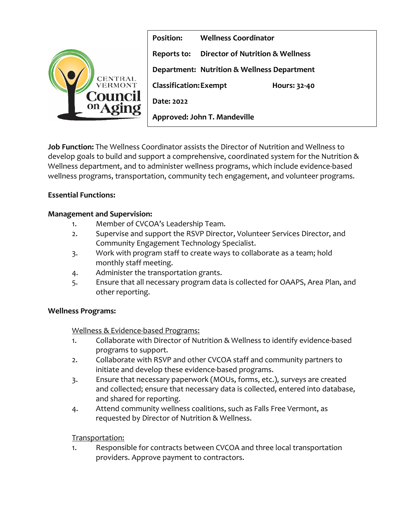

**Position: Wellness Coordinator Reports to: Director of Nutrition & Wellness Department: Nutrition & Wellness Department Classification:Exempt Hours: 32-40 Date: 2022 Approved: John T. Mandeville** 

**Job Function:** The Wellness Coordinator assists the Director of Nutrition and Wellness to develop goals to build and support a comprehensive, coordinated system for the Nutrition & Wellness department, and to administer wellness programs, which include evidence-based wellness programs, transportation, community tech engagement, and volunteer programs.

# **Essential Functions:**

## **Management and Supervision:**

- 1. Member of CVCOA's Leadership Team.
- 2. Supervise and support the RSVP Director, Volunteer Services Director, and Community Engagement Technology Specialist.
- 3. Work with program staff to create ways to collaborate as a team; hold monthly staff meeting.
- 4. Administer the transportation grants.
- 5. Ensure that all necessary program data is collected for OAAPS, Area Plan, and other reporting.

### **Wellness Programs:**

### Wellness & Evidence-based Programs:

- 1. Collaborate with Director of Nutrition & Wellness to identify evidence-based programs to support.
- 2. Collaborate with RSVP and other CVCOA staff and community partners to initiate and develop these evidence-based programs.
- 3. Ensure that necessary paperwork (MOUs, forms, etc.), surveys are created and collected; ensure that necessary data is collected, entered into database, and shared for reporting.
- 4. Attend community wellness coalitions, such as Falls Free Vermont, as requested by Director of Nutrition & Wellness.

# Transportation:

1. Responsible for contracts between CVCOA and three local transportation providers. Approve payment to contractors.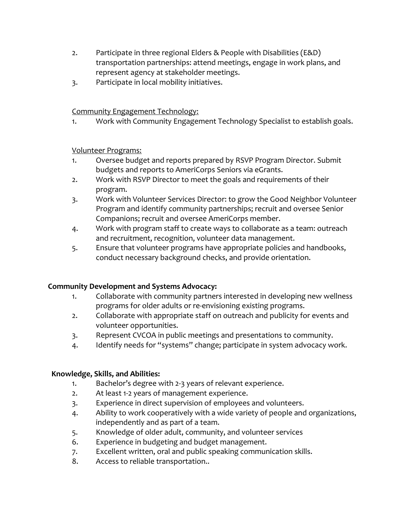- 2. Participate in three regional Elders & People with Disabilities (E&D) transportation partnerships: attend meetings, engage in work plans, and represent agency at stakeholder meetings.
- 3. Participate in local mobility initiatives.

## Community Engagement Technology:

1. Work with Community Engagement Technology Specialist to establish goals.

### Volunteer Programs:

- 1. Oversee budget and reports prepared by RSVP Program Director. Submit budgets and reports to AmeriCorps Seniors via eGrants.
- 2. Work with RSVP Director to meet the goals and requirements of their program.
- 3. Work with Volunteer Services Director: to grow the Good Neighbor Volunteer Program and identify community partnerships; recruit and oversee Senior Companions; recruit and oversee AmeriCorps member.
- 4. Work with program staff to create ways to collaborate as a team: outreach and recruitment, recognition, volunteer data management.
- 5. Ensure that volunteer programs have appropriate policies and handbooks, conduct necessary background checks, and provide orientation.

### **Community Development and Systems Advocacy:**

- 1. Collaborate with community partners interested in developing new wellness programs for older adults or re-envisioning existing programs.
- 2. Collaborate with appropriate staff on outreach and publicity for events and volunteer opportunities.
- 3. Represent CVCOA in public meetings and presentations to community.
- 4. Identify needs for "systems" change; participate in system advocacy work.

### **Knowledge, Skills, and Abilities:**

- 1. Bachelor's degree with 2-3 years of relevant experience.
- 2. At least 1-2 years of management experience.
- 3. Experience in direct supervision of employees and volunteers.
- 4. Ability to work cooperatively with a wide variety of people and organizations, independently and as part of a team.
- 5. Knowledge of older adult, community, and volunteer services
- 6. Experience in budgeting and budget management.
- 7. Excellent written, oral and public speaking communication skills.
- 8. Access to reliable transportation..